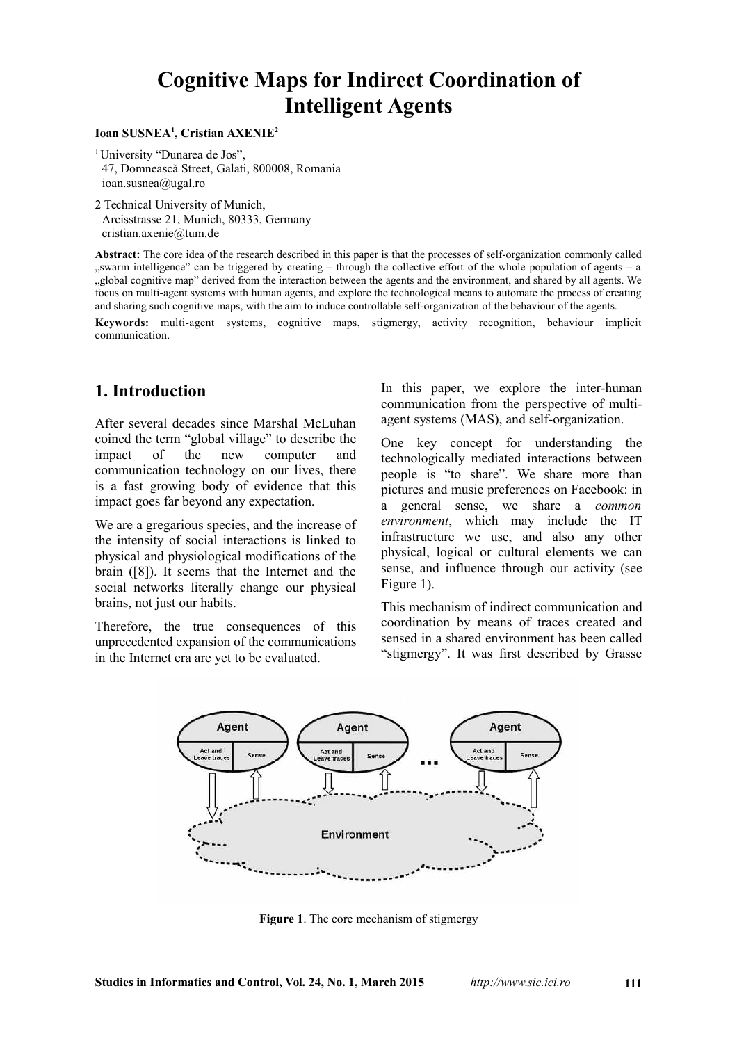# **Cognitive Maps for Indirect Coordination of Intelligent Agents**

#### **Ioan SUSNEA<sup>1</sup> , Cristian AXENIE<sup>2</sup>**

<sup>1</sup> University "Dunarea de Jos", 47, Domnească Street, Galati, 800008, Romania ioan.susnea@ugal.ro

2 Technical University of Munich, Arcisstrasse 21, Munich, 80333, Germany cristian.axenie@tum.de

**Abstract:** The core idea of the research described in this paper is that the processes of self-organization commonly called "swarm intelligence" can be triggered by creating – through the collective effort of the whole population of agents – a "global cognitive map" derived from the interaction between the agents and the environment, and shared by all agents. We focus on multi-agent systems with human agents, and explore the technological means to automate the process of creating and sharing such cognitive maps, with the aim to induce controllable self-organization of the behaviour of the agents.

**Keywords:** multi-agent systems, cognitive maps, stigmergy, activity recognition, behaviour implicit communication.

### **1. Introduction**

After several decades since Marshal McLuhan coined the term "global village" to describe the impact of the new computer and communication technology on our lives, there is a fast growing body of evidence that this impact goes far beyond any expectation.

We are a gregarious species, and the increase of the intensity of social interactions is linked to physical and physiological modifications of the brain ([8]). It seems that the Internet and the social networks literally change our physical brains, not just our habits.

Therefore, the true consequences of this unprecedented expansion of the communications in the Internet era are yet to be evaluated.

In this paper, we explore the inter-human communication from the perspective of multiagent systems (MAS), and self-organization.

One key concept for understanding the technologically mediated interactions between people is "to share". We share more than pictures and music preferences on Facebook: in a general sense, we share a *common environment*, which may include the IT infrastructure we use, and also any other physical, logical or cultural elements we can sense, and influence through our activity (see Figure 1).

This mechanism of indirect communication and coordination by means of traces created and sensed in a shared environment has been called "stigmergy". It was first described by Grasse



**Figure 1**. The core mechanism of stigmergy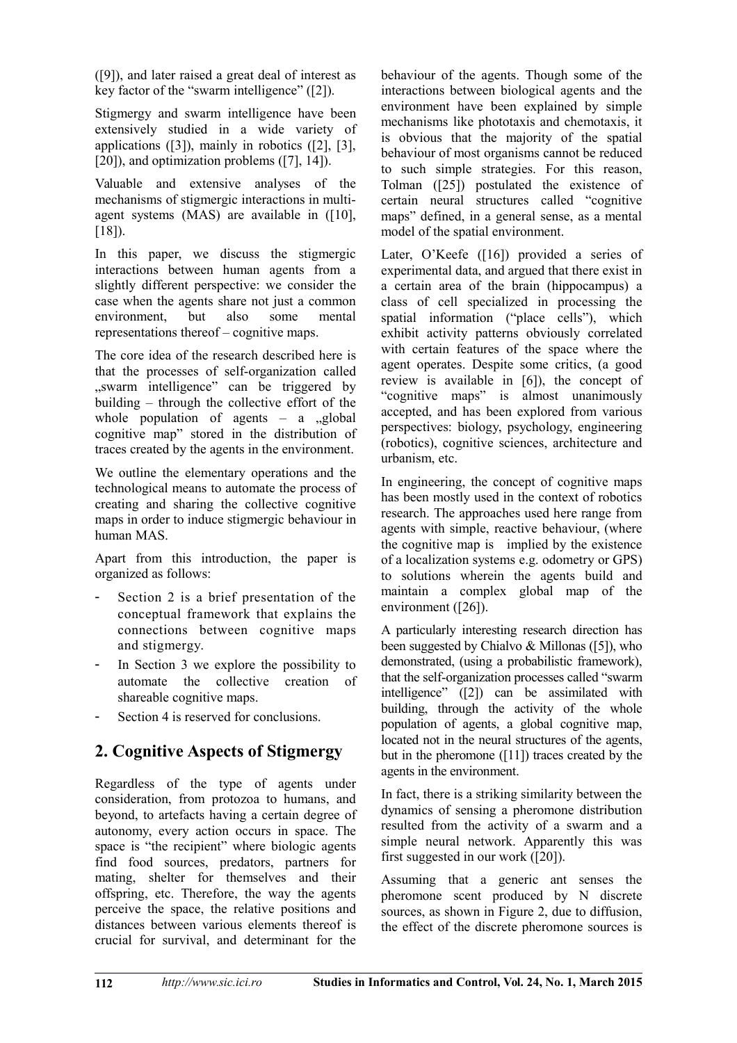([9]), and later raised a great deal of interest as key factor of the "swarm intelligence" ([2]).

Stigmergy and swarm intelligence have been extensively studied in a wide variety of applications ([3]), mainly in robotics ([2], [3], [20]), and optimization problems ([7], 14]).

Valuable and extensive analyses of the mechanisms of stigmergic interactions in multiagent systems (MAS) are available in ([10],  $[18]$ .

In this paper, we discuss the stigmergic interactions between human agents from a slightly different perspective: we consider the case when the agents share not just a common environment, but also some mental representations thereof – cognitive maps.

The core idea of the research described here is that the processes of self-organization called "swarm intelligence" can be triggered by building – through the collective effort of the whole population of agents  $-$  a  $,$ global cognitive map" stored in the distribution of traces created by the agents in the environment.

We outline the elementary operations and the technological means to automate the process of creating and sharing the collective cognitive maps in order to induce stigmergic behaviour in human MAS.

Apart from this introduction, the paper is organized as follows:

- Section 2 is a brief presentation of the conceptual framework that explains the connections between cognitive maps and stigmergy.
- In Section 3 we explore the possibility to automate the collective creation of shareable cognitive maps.
- Section 4 is reserved for conclusions.

## **2. Cognitive Aspects of Stigmergy**

Regardless of the type of agents under consideration, from protozoa to humans, and beyond, to artefacts having a certain degree of autonomy, every action occurs in space. The space is "the recipient" where biologic agents find food sources, predators, partners for mating, shelter for themselves and their offspring, etc. Therefore, the way the agents perceive the space, the relative positions and distances between various elements thereof is crucial for survival, and determinant for the behaviour of the agents. Though some of the interactions between biological agents and the environment have been explained by simple mechanisms like phototaxis and chemotaxis, it is obvious that the majority of the spatial behaviour of most organisms cannot be reduced to such simple strategies. For this reason, Tolman ([25]) postulated the existence of certain neural structures called "cognitive maps" defined, in a general sense, as a mental model of the spatial environment.

Later, O'Keefe ([16]) provided a series of experimental data, and argued that there exist in a certain area of the brain (hippocampus) a class of cell specialized in processing the spatial information ("place cells"), which exhibit activity patterns obviously correlated with certain features of the space where the agent operates. Despite some critics, (a good review is available in [6]), the concept of "cognitive maps" is almost unanimously accepted, and has been explored from various perspectives: biology, psychology, engineering (robotics), cognitive sciences, architecture and urbanism, etc.

In engineering, the concept of cognitive maps has been mostly used in the context of robotics research. The approaches used here range from agents with simple, reactive behaviour, (where the cognitive map is implied by the existence of a localization systems e.g. odometry or GPS) to solutions wherein the agents build and maintain a complex global map of the environment ([26]).

A particularly interesting research direction has been suggested by Chialvo & Millonas ([5]), who demonstrated, (using a probabilistic framework), that the self-organization processes called "swarm intelligence" ([2]) can be assimilated with building, through the activity of the whole population of agents, a global cognitive map, located not in the neural structures of the agents, but in the pheromone ([11]) traces created by the agents in the environment.

In fact, there is a striking similarity between the dynamics of sensing a pheromone distribution resulted from the activity of a swarm and a simple neural network. Apparently this was first suggested in our work ([20]).

Assuming that a generic ant senses the pheromone scent produced by N discrete sources, as shown in Figure 2, due to diffusion, the effect of the discrete pheromone sources is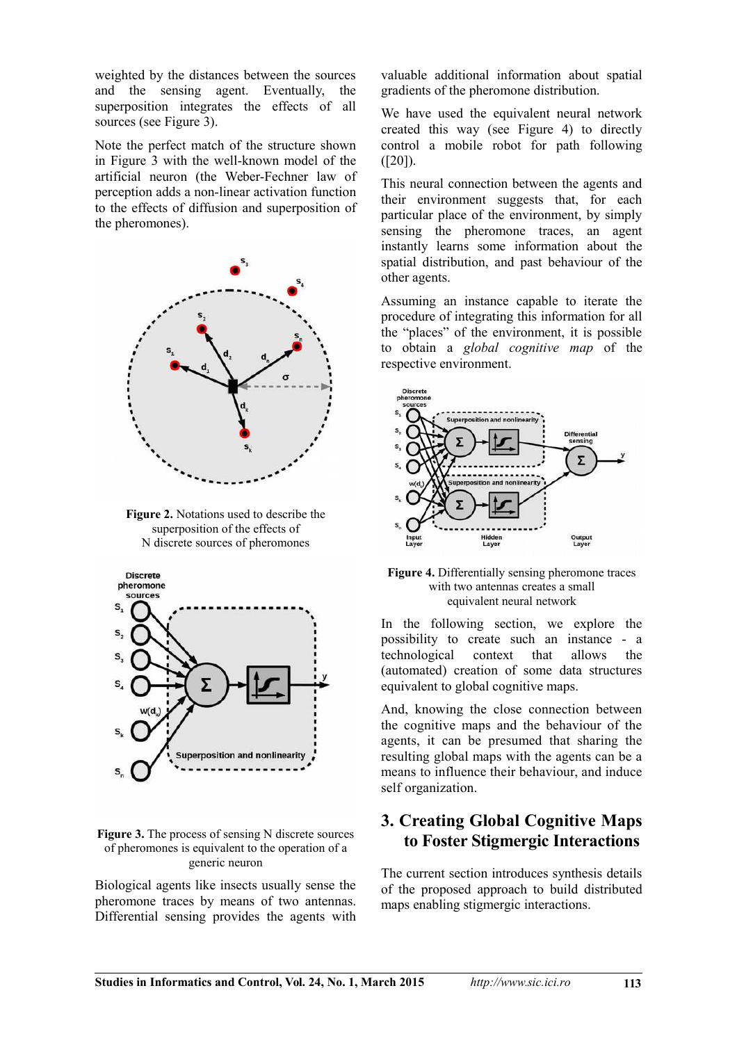weighted by the distances between the sources and the sensing agent. Eventually, the superposition integrates the effects of all sources (see Figure 3).

Note the perfect match of the structure shown in Figure 3 with the well-known model of the artificial neuron (the Weber-Fechner law of perception adds a non-linear activation function to the effects of diffusion and superposition of the pheromones).



**Figure 2.** Notations used to describe the superposition of the effects of N discrete sources of pheromones



#### **Figure 3.** The process of sensing N discrete sources of pheromones is equivalent to the operation of a generic neuron

Biological agents like insects usually sense the pheromone traces by means of two antennas. Differential sensing provides the agents with

valuable additional information about spatial gradients of the pheromone distribution.

We have used the equivalent neural network created this way (see Figure 4) to directly control a mobile robot for path following  $([20])$ .

This neural connection between the agents and their environment suggests that, for each particular place of the environment, by simply sensing the pheromone traces, an agent instantly learns some information about the spatial distribution, and past behaviour of the other agents.

Assuming an instance capable to iterate the procedure of integrating this information for all the "places" of the environment, it is possible to obtain a *global cognitive map* of the respective environment.



**Figure 4.** Differentially sensing pheromone traces with two antennas creates a small equivalent neural network

In the following section, we explore the possibility to create such an instance - a technological context that allows the (automated) creation of some data structures equivalent to global cognitive maps.

And, knowing the close connection between the cognitive maps and the behaviour of the agents, it can be presumed that sharing the resulting global maps with the agents can be a means to influence their behaviour, and induce self organization.

### **3. Creating Global Cognitive Maps to Foster Stigmergic Interactions**

The current section introduces synthesis details of the proposed approach to build distributed maps enabling stigmergic interactions.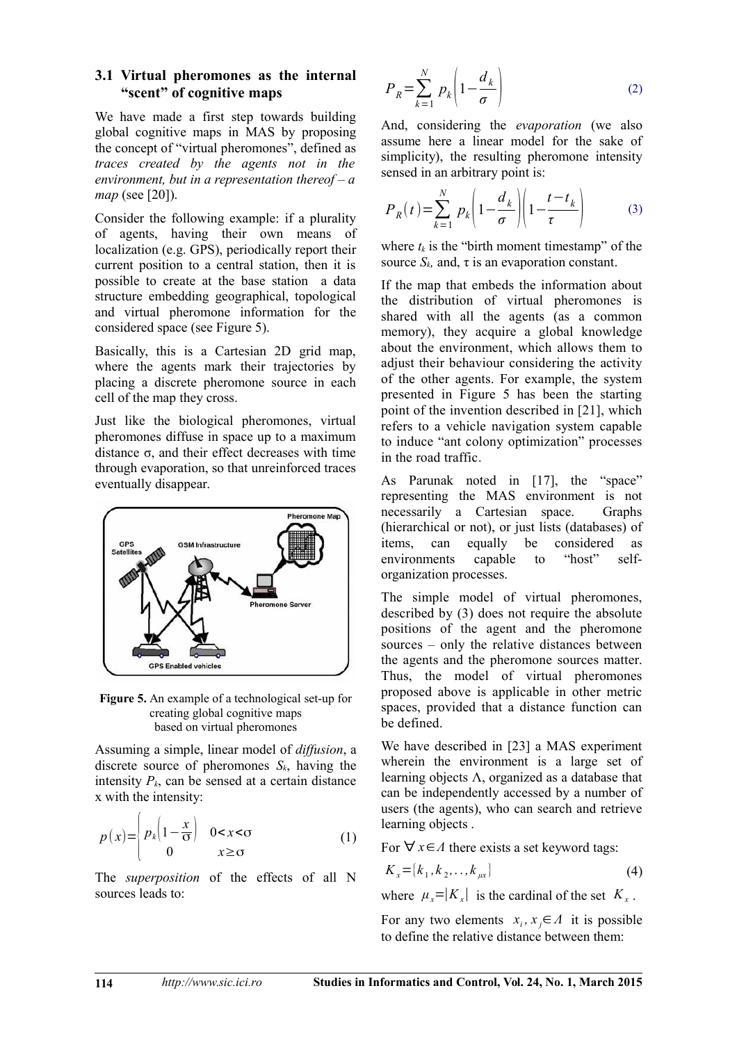#### **3.1 Virtual pheromones as the internal "scent" of cognitive maps**

We have made a first step towards building global cognitive maps in MAS by proposing the concept of "virtual pheromones", defined as *traces created by the agents not in the environment, but in a representation thereof – a map* (see [20]).

Consider the following example: if a plurality of agents, having their own means of localization (e.g. GPS), periodically report their current position to a central station, then it is possible to create at the base station a data structure embedding geographical, topological and virtual pheromone information for the considered space (see Figure 5).

Basically, this is a Cartesian 2D grid map, where the agents mark their trajectories by placing a discrete pheromone source in each cell of the map they cross.

Just like the biological pheromones, virtual pheromones diffuse in space up to a maximum distance  $\sigma$ , and their effect decreases with time through evaporation, so that unreinforced traces eventually disappear.



**Figure 5.** An example of a technological set-up for creating global cognitive maps based on virtual pheromones

Assuming a simple, linear model of *diffusion*, a discrete source of pheromones *Sk*, having the intensity  $P_k$ , can be sensed at a certain distance x with the intensity:

$$
p(x) = \begin{cases} p_k \left(1 - \frac{x}{\sigma}\right) & 0 < x < \sigma \\ 0 & x \ge \sigma \end{cases} \tag{1}
$$

The *superposition* of the effects of all N sources leads to:

$$
P_R = \sum_{k=1}^{N} p_k \left( 1 - \frac{d_k}{\sigma} \right) \tag{2}
$$

And, considering the *evaporation* (we also assume here a linear model for the sake of simplicity), the resulting pheromone intensity sensed in an arbitrary point is:

$$
P_R(t) = \sum_{k=1}^{N} p_k \left( 1 - \frac{d_k}{\sigma} \right) \left( 1 - \frac{t - t_k}{\tau} \right) \tag{3}
$$

where  $t_k$  is the "birth moment timestamp" of the source  $S_k$ , and,  $\tau$  is an evaporation constant.

If the map that embeds the information about the distribution of virtual pheromones is shared with all the agents (as a common memory), they acquire a global knowledge about the environment, which allows them to adjust their behaviour considering the activity of the other agents. For example, the system presented in Figure 5 has been the starting point of the invention described in [21], which refers to a vehicle navigation system capable to induce "ant colony optimization" processes in the road traffic.

As Parunak noted in [17], the "space" representing the MAS environment is not necessarily a Cartesian space. Graphs (hierarchical or not), or just lists (databases) of items, can equally be considered as<br>environments canable to "host" selfenvironments capable to "host" selforganization processes.

The simple model of virtual pheromones, described by (3) does not require the absolute positions of the agent and the pheromone sources – only the relative distances between the agents and the pheromone sources matter. Thus, the model of virtual pheromones proposed above is applicable in other metric spaces, provided that a distance function can be defined.

We have described in [23] a MAS experiment wherein the environment is a large set of learning objects  $\Lambda$ , organized as a database that can be independently accessed by a number of users (the agents), who can search and retrieve learning objects .

For ∀ *x*∈*Λ* there exists a set keyword tags:

$$
K_x = [k_1, k_2, \dots, k_{\mu x}]
$$
\n(4)

where  $\mu_x = |K_x|$  is the cardinal of the set  $K_x$ .

For any two elements  $x_i, x_j \in A$  it is possible to define the relative distance between them: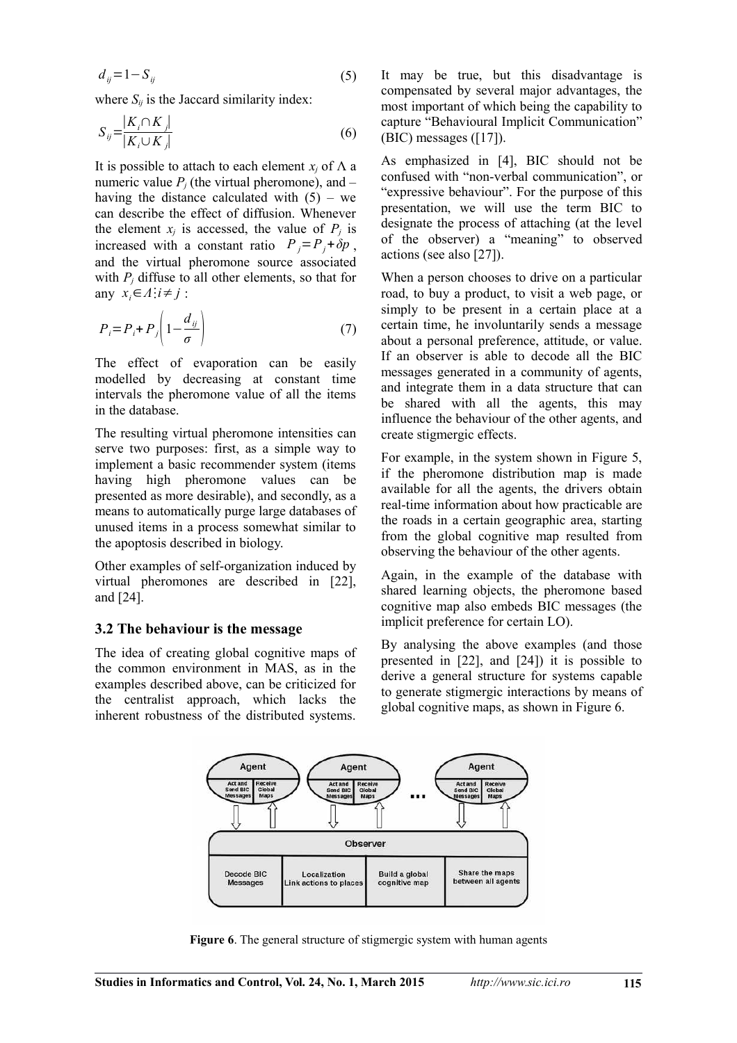$$
d_{ij} = 1 - S_{ij} \tag{5}
$$

where  $S_{ij}$  is the Jaccard similarity index:

$$
S_{ij} = \frac{|K_i \cap K_j|}{|K_i \cup K_j|} \tag{6}
$$

It is possible to attach to each element  $x_i$  of  $\Lambda$  a numeric value  $P_j$  (the virtual pheromone), and – having the distance calculated with  $(5)$  – we can describe the effect of diffusion. Whenever the element  $x_j$  is accessed, the value of  $P_j$  is increased with a constant ratio  $P_i = P_i + \delta p$ , and the virtual pheromone source associated with  $P_i$  diffuse to all other elements, so that for any  $x_i \in \Lambda$ <sup>:</sup> $i \neq j$ :

$$
P_i = P_i + P_j \left( 1 - \frac{d_{ij}}{\sigma} \right) \tag{7}
$$

The effect of evaporation can be easily modelled by decreasing at constant time intervals the pheromone value of all the items in the database.

The resulting virtual pheromone intensities can serve two purposes: first, as a simple way to implement a basic recommender system (items having high pheromone values can be presented as more desirable), and secondly, as a means to automatically purge large databases of unused items in a process somewhat similar to the apoptosis described in biology.

Other examples of self-organization induced by virtual pheromones are described in [22], and [24].

#### **3.2 The behaviour is the message**

The idea of creating global cognitive maps of the common environment in MAS, as in the examples described above, can be criticized for the centralist approach, which lacks the inherent robustness of the distributed systems.

It may be true, but this disadvantage is compensated by several major advantages, the most important of which being the capability to capture "Behavioural Implicit Communication" (BIC) messages ([17]).

As emphasized in [4], BIC should not be confused with "non-verbal communication", or "expressive behaviour". For the purpose of this presentation, we will use the term BIC to designate the process of attaching (at the level of the observer) a "meaning" to observed actions (see also [27]).

When a person chooses to drive on a particular road, to buy a product, to visit a web page, or simply to be present in a certain place at a certain time, he involuntarily sends a message about a personal preference, attitude, or value. If an observer is able to decode all the BIC messages generated in a community of agents, and integrate them in a data structure that can be shared with all the agents, this may influence the behaviour of the other agents, and create stigmergic effects.

For example, in the system shown in Figure 5, if the pheromone distribution map is made available for all the agents, the drivers obtain real-time information about how practicable are the roads in a certain geographic area, starting from the global cognitive map resulted from observing the behaviour of the other agents.

Again, in the example of the database with shared learning objects, the pheromone based cognitive map also embeds BIC messages (the implicit preference for certain LO).

By analysing the above examples (and those presented in [22], and [24]) it is possible to derive a general structure for systems capable to generate stigmergic interactions by means of global cognitive maps, as shown in Figure 6.



**Figure 6**. The general structure of stigmergic system with human agents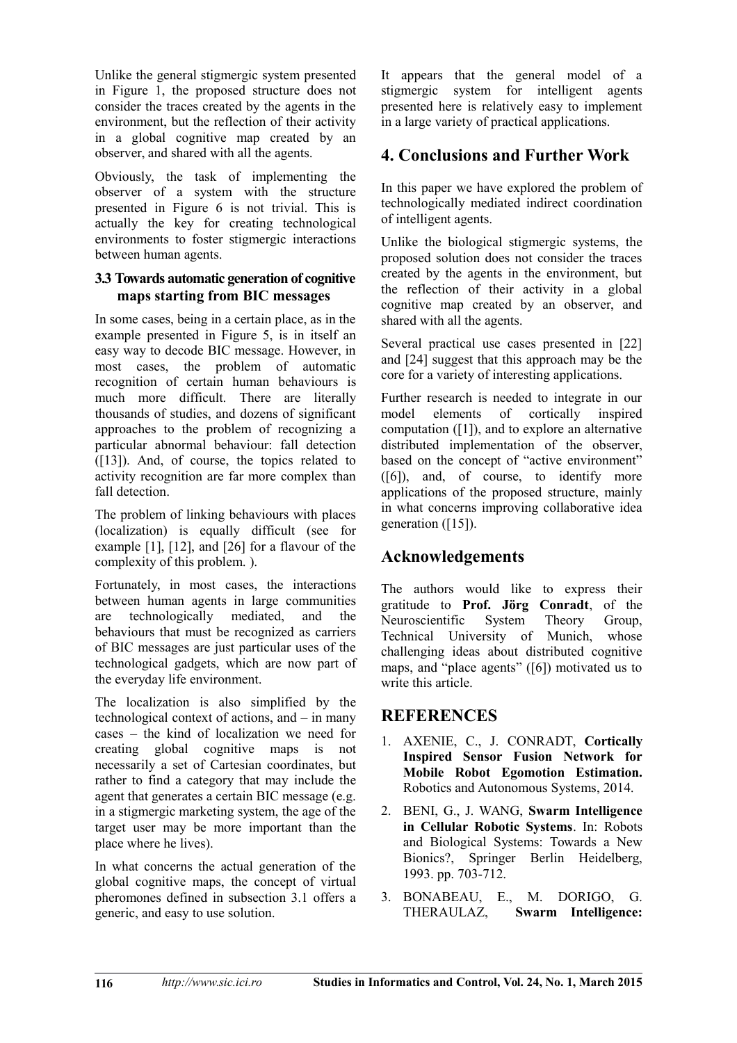Unlike the general stigmergic system presented in Figure 1, the proposed structure does not consider the traces created by the agents in the environment, but the reflection of their activity in a global cognitive map created by an observer, and shared with all the agents.

Obviously, the task of implementing the observer of a system with the structure presented in Figure 6 is not trivial. This is actually the key for creating technological environments to foster stigmergic interactions between human agents.

### **3.3 Towards automatic generation of cognitive maps starting from BIC messages**

In some cases, being in a certain place, as in the example presented in Figure 5, is in itself an easy way to decode BIC message. However, in most cases, the problem of automatic recognition of certain human behaviours is much more difficult. There are literally thousands of studies, and dozens of significant approaches to the problem of recognizing a particular abnormal behaviour: fall detection ([13]). And, of course, the topics related to activity recognition are far more complex than fall detection.

The problem of linking behaviours with places (localization) is equally difficult (see for example [1], [12], and [26] for a flavour of the complexity of this problem. ).

Fortunately, in most cases, the interactions between human agents in large communities are technologically mediated, and the behaviours that must be recognized as carriers of BIC messages are just particular uses of the technological gadgets, which are now part of the everyday life environment.

The localization is also simplified by the technological context of actions, and – in many cases – the kind of localization we need for creating global cognitive maps is not necessarily a set of Cartesian coordinates, but rather to find a category that may include the agent that generates a certain BIC message (e.g. in a stigmergic marketing system, the age of the target user may be more important than the place where he lives).

In what concerns the actual generation of the global cognitive maps, the concept of virtual pheromones defined in subsection 3.1 offers a generic, and easy to use solution.

It appears that the general model of a stigmergic system for intelligent agents presented here is relatively easy to implement in a large variety of practical applications.

## **4. Conclusions and Further Work**

In this paper we have explored the problem of technologically mediated indirect coordination of intelligent agents.

Unlike the biological stigmergic systems, the proposed solution does not consider the traces created by the agents in the environment, but the reflection of their activity in a global cognitive map created by an observer, and shared with all the agents.

Several practical use cases presented in [22] and [24] suggest that this approach may be the core for a variety of interesting applications.

Further research is needed to integrate in our model elements of cortically inspired computation ([1]), and to explore an alternative distributed implementation of the observer, based on the concept of "active environment" ([6]), and, of course, to identify more applications of the proposed structure, mainly in what concerns improving collaborative idea generation ([15]).

## **Acknowledgements**

The authors would like to express their gratitude to **Prof. Jörg Conradt**, of the Neuroscientific System Theory Group, Technical University of Munich, whose challenging ideas about distributed cognitive maps, and "place agents" ([6]) motivated us to write this article.

### **REFERENCES**

- 1. AXENIE, C., J. CONRADT, **Cortically Inspired Sensor Fusion Network for Mobile Robot Egomotion Estimation.** Robotics and Autonomous Systems, 2014.
- 2. BENI, G., J. WANG, **Swarm Intelligence in Cellular Robotic Systems**. In: Robots and Biological Systems: Towards a New Bionics?, Springer Berlin Heidelberg, 1993. pp. 703-712.
- 3. BONABEAU, E., M. DORIGO, G. THERAULAZ, **Swarm Intelligence:**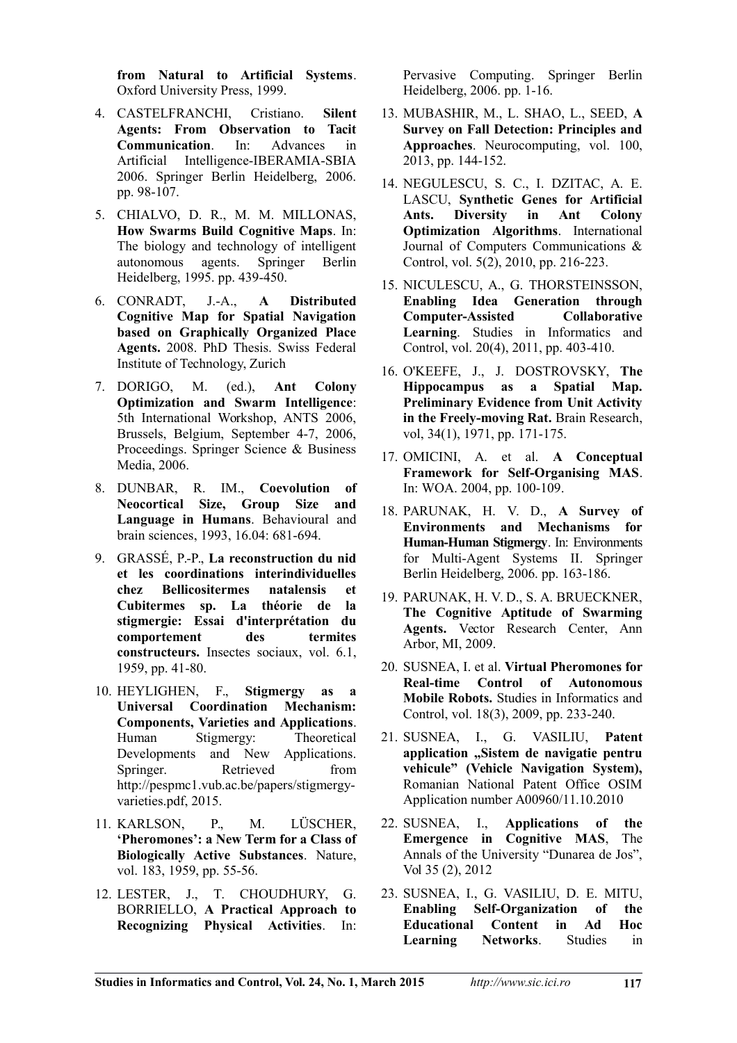**from Natural to Artificial Systems**. Oxford University Press, 1999.

- 4. CASTELFRANCHI, Cristiano. **Silent Agents: From Observation to Tacit Communication**. In: Advances in Artificial Intelligence-IBERAMIA-SBIA 2006. Springer Berlin Heidelberg, 2006. pp. 98-107.
- 5. CHIALVO, D. R., M. M. MILLONAS, **How Swarms Build Cognitive Maps**. In: The biology and technology of intelligent autonomous agents. Springer Berlin Heidelberg, 1995. pp. 439-450.
- 6. CONRADT, J.-A., **A Distributed Cognitive Map for Spatial Navigation based on Graphically Organized Place Agents.** 2008. PhD Thesis. Swiss Federal Institute of Technology, Zurich
- 7. DORIGO, M. (ed.), **Ant Colony Optimization and Swarm Intelligence**: 5th International Workshop, ANTS 2006, Brussels, Belgium, September 4-7, 2006, Proceedings. Springer Science & Business Media, 2006.
- 8. DUNBAR, R. IM., **Coevolution of Neocortical Size, Group Size and Language in Humans**. Behavioural and brain sciences, 1993, 16.04: 681-694.
- 9. GRASSÉ, P.-P., **La reconstruction du nid et les coordinations interindividuelles chez Bellicositermes natalensis et Cubitermes sp. La théorie de la stigmergie: Essai d'interprétation du comportement des termites constructeurs.** Insectes sociaux, vol. 6.1, 1959, pp. 41-80.
- 10. HEYLIGHEN, F., **Stigmergy as a Universal Coordination Mechanism: Components, Varieties and Applications**. Human Stigmergy: Theoretical Developments and New Applications. Springer Retrieved from http://pespmc1.vub.ac.be/papers/stigmergyvarieties.pdf, 2015.
- 11. KARLSON, P., M. LÜSCHER, **'Pheromones': a New Term for a Class of Biologically Active Substances**. Nature, vol. 183, 1959, pp. 55-56.
- 12. LESTER, J., T. CHOUDHURY, G. BORRIELLO, **A Practical Approach to Recognizing Physical Activities**. In:

Pervasive Computing. Springer Berlin Heidelberg, 2006. pp. 1-16.

- 13. MUBASHIR, M., L. SHAO, L., SEED, **A Survey on Fall Detection: Principles and Approaches**. Neurocomputing, vol. 100, 2013, pp. 144-152.
- 14. NEGULESCU, S. C., I. DZITAC, A. E. LASCU, **Synthetic Genes for Artificial Ants. Diversity in Ant Colony Optimization Algorithms**. International Journal of Computers Communications & Control, vol. 5(2), 2010, pp. 216-223.
- 15. NICULESCU, A., G. THORSTEINSSON, **Enabling Idea Generation through Computer-Assisted Collaborative Learning**. Studies in Informatics and Control, vol. 20(4), 2011, pp. 403-410.
- 16. O'KEEFE, J., J. DOSTROVSKY, **The Hippocampus as a Spatial Map. Preliminary Evidence from Unit Activity in the Freely-moving Rat.** Brain Research, vol, 34(1), 1971, pp. 171-175.
- 17. OMICINI, A. et al. **A Conceptual Framework for Self-Organising MAS**. In: WOA. 2004, pp. 100-109.
- 18. PARUNAK, H. V. D., **A Survey of Environments and Mechanisms for Human-Human Stigmergy**. In: Environments for Multi-Agent Systems II. Springer Berlin Heidelberg, 2006. pp. 163-186.
- 19. PARUNAK, H. V. D., S. A. BRUECKNER, **The Cognitive Aptitude of Swarming Agents.** Vector Research Center, Ann Arbor, MI, 2009.
- 20. SUSNEA, I. et al. **Virtual Pheromones for Real-time Control of Autonomous Mobile Robots.** Studies in Informatics and Control, vol. 18(3), 2009, pp. 233-240.
- 21. SUSNEA, I., G. VASILIU, **Patent application "Sistem de navigatie pentru vehicule" (Vehicle Navigation System),** Romanian National Patent Office OSIM Application number A00960/11.10.2010
- 22. SUSNEA, I., **Applications of the Emergence in Cognitive MAS**, The Annals of the University "Dunarea de Jos", Vol 35 (2), 2012
- 23. SUSNEA, I., G. VASILIU, D. E. MITU, **Enabling Self-Organization of the Educational Content in Ad Hoc Learning Networks**. Studies in